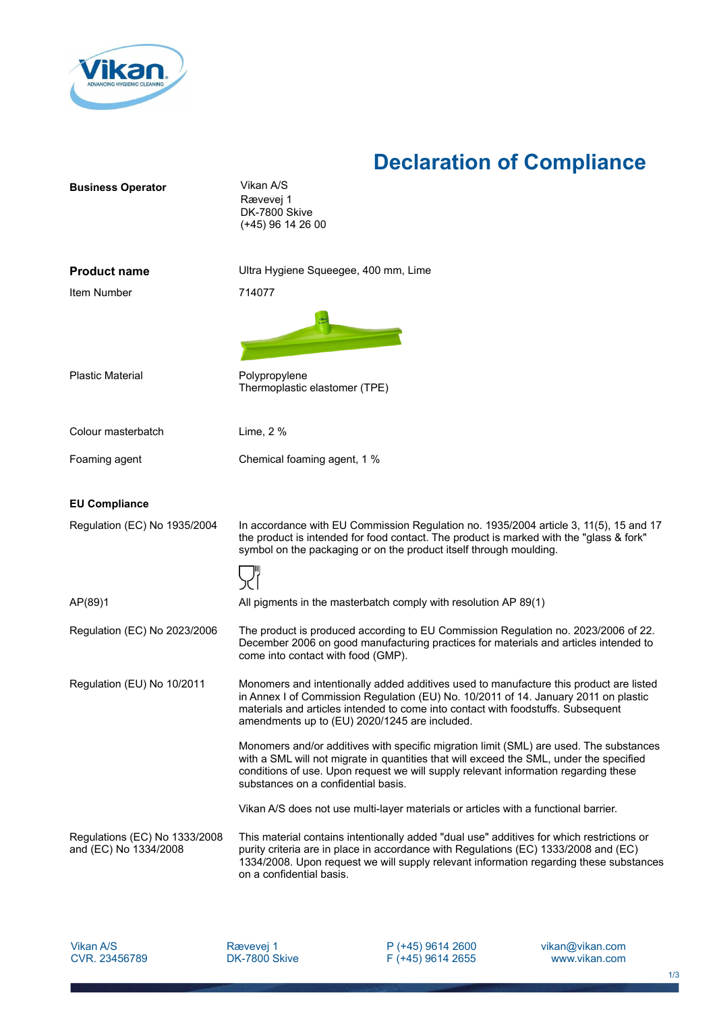

## **Declaration of Compliance**

| <b>Business Operator</b>                               | Vikan A/S<br>Rævevej 1<br>DK-7800 Skive<br>(+45) 96 14 26 00                                                                                                                                                                                                                                                       |
|--------------------------------------------------------|--------------------------------------------------------------------------------------------------------------------------------------------------------------------------------------------------------------------------------------------------------------------------------------------------------------------|
| <b>Product name</b>                                    | Ultra Hygiene Squeegee, 400 mm, Lime                                                                                                                                                                                                                                                                               |
| Item Number                                            | 714077                                                                                                                                                                                                                                                                                                             |
|                                                        |                                                                                                                                                                                                                                                                                                                    |
| <b>Plastic Material</b>                                | Polypropylene<br>Thermoplastic elastomer (TPE)                                                                                                                                                                                                                                                                     |
| Colour masterbatch                                     | Lime, 2 %                                                                                                                                                                                                                                                                                                          |
| Foaming agent                                          | Chemical foaming agent, 1 %                                                                                                                                                                                                                                                                                        |
|                                                        |                                                                                                                                                                                                                                                                                                                    |
| <b>EU Compliance</b>                                   |                                                                                                                                                                                                                                                                                                                    |
| Regulation (EC) No 1935/2004                           | In accordance with EU Commission Regulation no. 1935/2004 article 3, 11(5), 15 and 17<br>the product is intended for food contact. The product is marked with the "glass & fork"<br>symbol on the packaging or on the product itself through moulding.                                                             |
|                                                        |                                                                                                                                                                                                                                                                                                                    |
| AP(89)1                                                | All pigments in the masterbatch comply with resolution AP 89(1)                                                                                                                                                                                                                                                    |
| Regulation (EC) No 2023/2006                           | The product is produced according to EU Commission Regulation no. 2023/2006 of 22.<br>December 2006 on good manufacturing practices for materials and articles intended to<br>come into contact with food (GMP).                                                                                                   |
| Regulation (EU) No 10/2011                             | Monomers and intentionally added additives used to manufacture this product are listed<br>in Annex I of Commission Regulation (EU) No. 10/2011 of 14. January 2011 on plastic<br>materials and articles intended to come into contact with foodstuffs. Subsequent<br>amendments up to (EU) 2020/1245 are included. |
|                                                        | Monomers and/or additives with specific migration limit (SML) are used. The substances<br>with a SML will not migrate in quantities that will exceed the SML, under the specified<br>conditions of use. Upon request we will supply relevant information regarding these<br>substances on a confidential basis.    |
|                                                        | Vikan A/S does not use multi-layer materials or articles with a functional barrier.                                                                                                                                                                                                                                |
| Regulations (EC) No 1333/2008<br>and (EC) No 1334/2008 | This material contains intentionally added "dual use" additives for which restrictions or<br>purity criteria are in place in accordance with Regulations (EC) 1333/2008 and (EC)<br>1334/2008. Upon request we will supply relevant information regarding these substances<br>on a confidential basis.             |
|                                                        |                                                                                                                                                                                                                                                                                                                    |

Vikan A/S CVR. 23456789

P (+45) 9614 2600 F (+45) 9614 2655 vikan@vikan.com www.vikan.com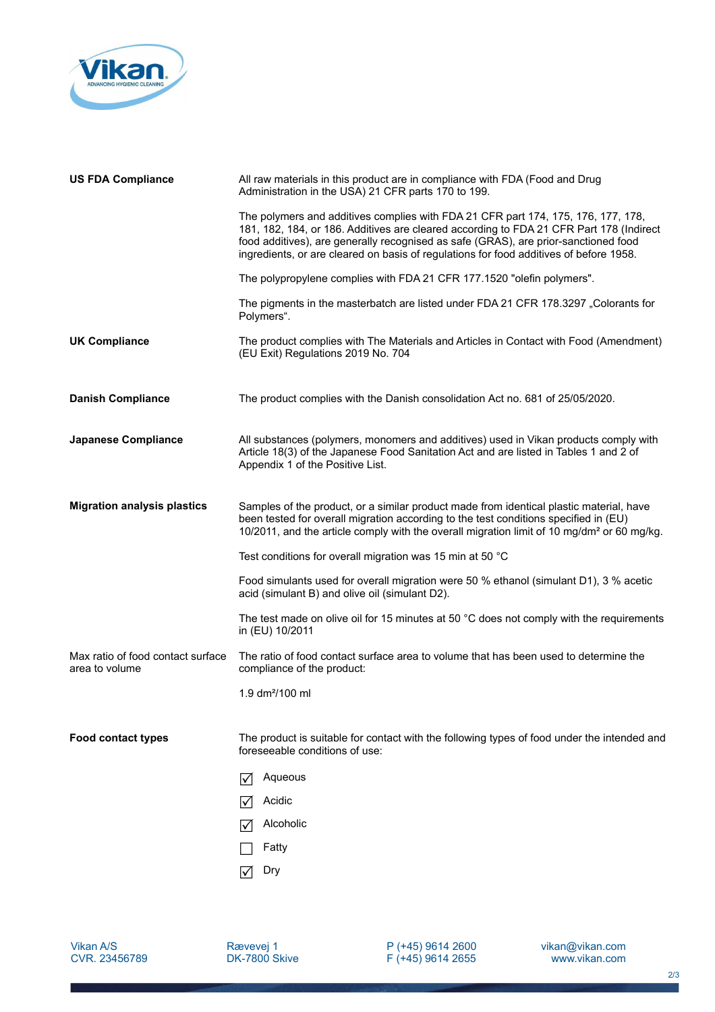

| <b>US FDA Compliance</b>                            | All raw materials in this product are in compliance with FDA (Food and Drug<br>Administration in the USA) 21 CFR parts 170 to 199.                                                                                                                                                                                                                            |
|-----------------------------------------------------|---------------------------------------------------------------------------------------------------------------------------------------------------------------------------------------------------------------------------------------------------------------------------------------------------------------------------------------------------------------|
|                                                     | The polymers and additives complies with FDA 21 CFR part 174, 175, 176, 177, 178,<br>181, 182, 184, or 186. Additives are cleared according to FDA 21 CFR Part 178 (Indirect<br>food additives), are generally recognised as safe (GRAS), are prior-sanctioned food<br>ingredients, or are cleared on basis of regulations for food additives of before 1958. |
|                                                     | The polypropylene complies with FDA 21 CFR 177.1520 "olefin polymers".                                                                                                                                                                                                                                                                                        |
|                                                     | The pigments in the masterbatch are listed under FDA 21 CFR 178.3297 "Colorants for<br>Polymers".                                                                                                                                                                                                                                                             |
| <b>UK Compliance</b>                                | The product complies with The Materials and Articles in Contact with Food (Amendment)<br>(EU Exit) Regulations 2019 No. 704                                                                                                                                                                                                                                   |
| <b>Danish Compliance</b>                            | The product complies with the Danish consolidation Act no. 681 of 25/05/2020.                                                                                                                                                                                                                                                                                 |
| <b>Japanese Compliance</b>                          | All substances (polymers, monomers and additives) used in Vikan products comply with<br>Article 18(3) of the Japanese Food Sanitation Act and are listed in Tables 1 and 2 of<br>Appendix 1 of the Positive List.                                                                                                                                             |
| <b>Migration analysis plastics</b>                  | Samples of the product, or a similar product made from identical plastic material, have<br>been tested for overall migration according to the test conditions specified in (EU)<br>10/2011, and the article comply with the overall migration limit of 10 mg/dm <sup>2</sup> or 60 mg/kg.                                                                     |
|                                                     | Test conditions for overall migration was 15 min at 50 °C                                                                                                                                                                                                                                                                                                     |
|                                                     | Food simulants used for overall migration were 50 % ethanol (simulant D1), 3 % acetic<br>acid (simulant B) and olive oil (simulant D2).                                                                                                                                                                                                                       |
|                                                     | The test made on olive oil for 15 minutes at 50 °C does not comply with the requirements<br>in (EU) 10/2011                                                                                                                                                                                                                                                   |
| Max ratio of food contact surface<br>area to volume | The ratio of food contact surface area to volume that has been used to determine the<br>compliance of the product:                                                                                                                                                                                                                                            |
|                                                     | 1.9 dm <sup>2</sup> /100 ml                                                                                                                                                                                                                                                                                                                                   |
| <b>Food contact types</b>                           | The product is suitable for contact with the following types of food under the intended and<br>foreseeable conditions of use:                                                                                                                                                                                                                                 |
|                                                     | Aqueous<br>∨                                                                                                                                                                                                                                                                                                                                                  |
|                                                     | Acidic<br>I√                                                                                                                                                                                                                                                                                                                                                  |
|                                                     | Alcoholic                                                                                                                                                                                                                                                                                                                                                     |
|                                                     | Fatty                                                                                                                                                                                                                                                                                                                                                         |
|                                                     | Dry<br>I√                                                                                                                                                                                                                                                                                                                                                     |

P (+45) 9614 2600 F (+45) 9614 2655 vikan@vikan.com www.vikan.com